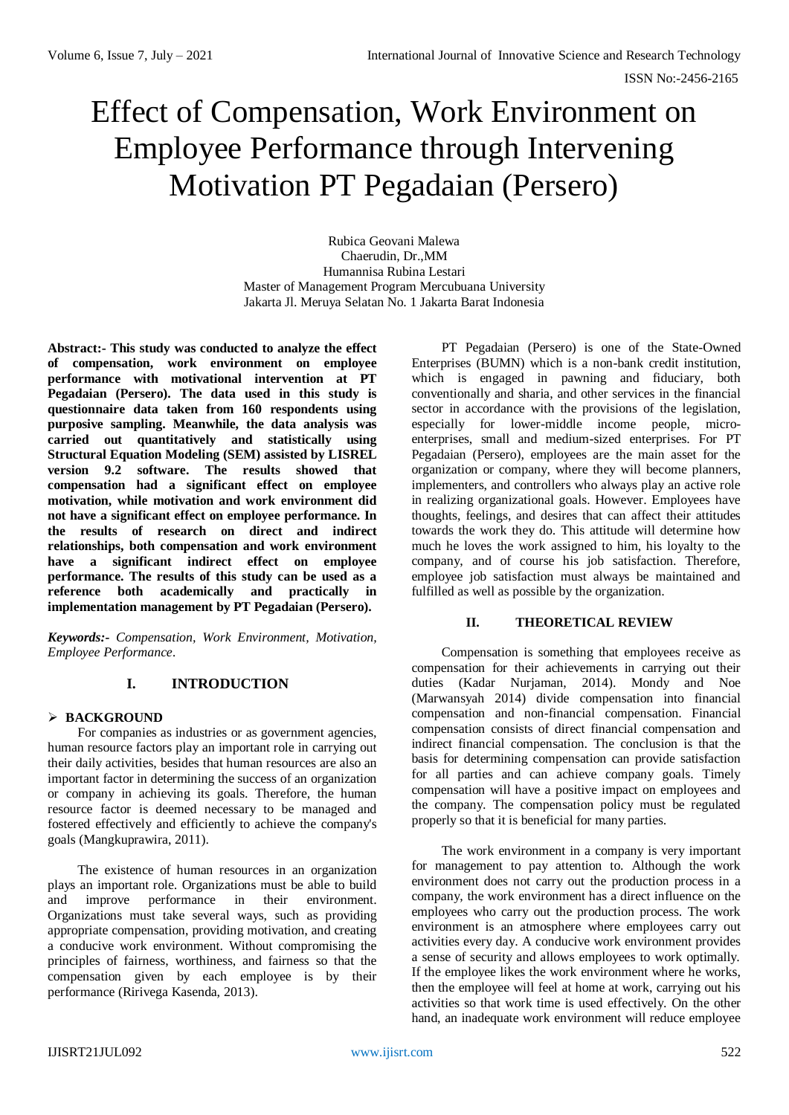# Effect of Compensation, Work Environment on Employee Performance through Intervening Motivation PT Pegadaian (Persero)

Rubica Geovani Malewa Chaerudin, Dr.,MM Humannisa Rubina Lestari Master of Management Program Mercubuana University Jakarta Jl. Meruya Selatan No. 1 Jakarta Barat Indonesia

**Abstract:- This study was conducted to analyze the effect of compensation, work environment on employee performance with motivational intervention at PT Pegadaian (Persero). The data used in this study is questionnaire data taken from 160 respondents using purposive sampling. Meanwhile, the data analysis was carried out quantitatively and statistically using Structural Equation Modeling (SEM) assisted by LISREL version 9.2 software. The results showed that compensation had a significant effect on employee motivation, while motivation and work environment did not have a significant effect on employee performance. In the results of research on direct and indirect relationships, both compensation and work environment have a significant indirect effect on employee performance. The results of this study can be used as a reference both academically and practically in implementation management by PT Pegadaian (Persero).**

*Keywords:- Compensation, Work Environment, Motivation, Employee Performance.* 

# **I. INTRODUCTION**

## **BACKGROUND**

For companies as industries or as government agencies, human resource factors play an important role in carrying out their daily activities, besides that human resources are also an important factor in determining the success of an organization or company in achieving its goals. Therefore, the human resource factor is deemed necessary to be managed and fostered effectively and efficiently to achieve the company's goals (Mangkuprawira, 2011).

The existence of human resources in an organization plays an important role. Organizations must be able to build and improve performance in their environment. Organizations must take several ways, such as providing appropriate compensation, providing motivation, and creating a conducive work environment. Without compromising the principles of fairness, worthiness, and fairness so that the compensation given by each employee is by their performance (Ririvega Kasenda, 2013).

PT Pegadaian (Persero) is one of the State-Owned Enterprises (BUMN) which is a non-bank credit institution, which is engaged in pawning and fiduciary, both conventionally and sharia, and other services in the financial sector in accordance with the provisions of the legislation, especially for lower-middle income people, microenterprises, small and medium-sized enterprises. For PT Pegadaian (Persero), employees are the main asset for the organization or company, where they will become planners, implementers, and controllers who always play an active role in realizing organizational goals. However. Employees have thoughts, feelings, and desires that can affect their attitudes towards the work they do. This attitude will determine how much he loves the work assigned to him, his loyalty to the company, and of course his job satisfaction. Therefore, employee job satisfaction must always be maintained and fulfilled as well as possible by the organization.

# **II. THEORETICAL REVIEW**

Compensation is something that employees receive as compensation for their achievements in carrying out their duties (Kadar Nurjaman, 2014). Mondy and Noe (Marwansyah 2014) divide compensation into financial compensation and non-financial compensation. Financial compensation consists of direct financial compensation and indirect financial compensation. The conclusion is that the basis for determining compensation can provide satisfaction for all parties and can achieve company goals. Timely compensation will have a positive impact on employees and the company. The compensation policy must be regulated properly so that it is beneficial for many parties.

The work environment in a company is very important for management to pay attention to. Although the work environment does not carry out the production process in a company, the work environment has a direct influence on the employees who carry out the production process. The work environment is an atmosphere where employees carry out activities every day. A conducive work environment provides a sense of security and allows employees to work optimally. If the employee likes the work environment where he works, then the employee will feel at home at work, carrying out his activities so that work time is used effectively. On the other hand, an inadequate work environment will reduce employee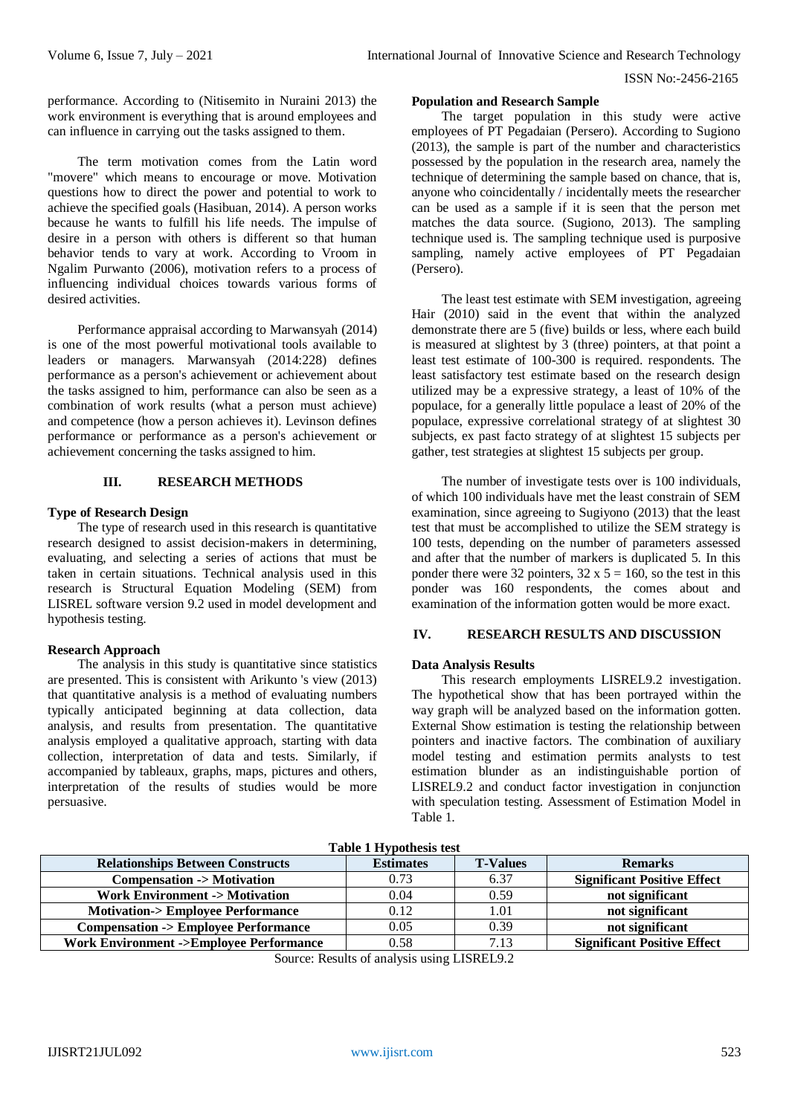performance. According to (Nitisemito in Nuraini 2013) the work environment is everything that is around employees and can influence in carrying out the tasks assigned to them.

The term motivation comes from the Latin word "movere" which means to encourage or move. Motivation questions how to direct the power and potential to work to achieve the specified goals (Hasibuan, 2014). A person works because he wants to fulfill his life needs. The impulse of desire in a person with others is different so that human behavior tends to vary at work. According to Vroom in Ngalim Purwanto (2006), motivation refers to a process of influencing individual choices towards various forms of desired activities.

Performance appraisal according to Marwansyah (2014) is one of the most powerful motivational tools available to leaders or managers. Marwansyah (2014:228) defines performance as a person's achievement or achievement about the tasks assigned to him, performance can also be seen as a combination of work results (what a person must achieve) and competence (how a person achieves it). Levinson defines performance or performance as a person's achievement or achievement concerning the tasks assigned to him.

### **III. RESEARCH METHODS**

#### **Type of Research Design**

The type of research used in this research is quantitative research designed to assist decision-makers in determining, evaluating, and selecting a series of actions that must be taken in certain situations. Technical analysis used in this research is Structural Equation Modeling (SEM) from LISREL software version 9.2 used in model development and hypothesis testing.

#### **Research Approach**

The analysis in this study is quantitative since statistics are presented. This is consistent with Arikunto 's view (2013) that quantitative analysis is a method of evaluating numbers typically anticipated beginning at data collection, data analysis, and results from presentation. The quantitative analysis employed a qualitative approach, starting with data collection, interpretation of data and tests. Similarly, if accompanied by tableaux, graphs, maps, pictures and others, interpretation of the results of studies would be more persuasive.

#### **Population and Research Sample**

The target population in this study were active employees of PT Pegadaian (Persero). According to Sugiono (2013), the sample is part of the number and characteristics possessed by the population in the research area, namely the technique of determining the sample based on chance, that is, anyone who coincidentally / incidentally meets the researcher can be used as a sample if it is seen that the person met matches the data source. (Sugiono, 2013). The sampling technique used is. The sampling technique used is purposive sampling, namely active employees of PT Pegadaian (Persero).

The least test estimate with SEM investigation, agreeing Hair (2010) said in the event that within the analyzed demonstrate there are 5 (five) builds or less, where each build is measured at slightest by 3 (three) pointers, at that point a least test estimate of 100-300 is required. respondents. The least satisfactory test estimate based on the research design utilized may be a expressive strategy, a least of 10% of the populace, for a generally little populace a least of 20% of the populace, expressive correlational strategy of at slightest 30 subjects, ex past facto strategy of at slightest 15 subjects per gather, test strategies at slightest 15 subjects per group.

The number of investigate tests over is 100 individuals, of which 100 individuals have met the least constrain of SEM examination, since agreeing to Sugiyono (2013) that the least test that must be accomplished to utilize the SEM strategy is 100 tests, depending on the number of parameters assessed and after that the number of markers is duplicated 5. In this ponder there were 32 pointers,  $32 \times 5 = 160$ , so the test in this ponder was 160 respondents, the comes about and examination of the information gotten would be more exact.

## **IV. RESEARCH RESULTS AND DISCUSSION**

#### **Data Analysis Results**

This research employments LISREL9.2 investigation. The hypothetical show that has been portrayed within the way graph will be analyzed based on the information gotten. External Show estimation is testing the relationship between pointers and inactive factors. The combination of auxiliary model testing and estimation permits analysts to test estimation blunder as an indistinguishable portion of LISREL9.2 and conduct factor investigation in conjunction with speculation testing. Assessment of Estimation Model in Table 1.

| <b>LADIC 1 IIY DULIUSIS USU</b>                   |                  |                 |                                    |  |  |  |  |
|---------------------------------------------------|------------------|-----------------|------------------------------------|--|--|--|--|
| <b>Relationships Between Constructs</b>           | <b>Estimates</b> | <b>T-Values</b> | <b>Remarks</b>                     |  |  |  |  |
| <b>Compensation -&gt; Motivation</b>              | 0.73             | 6.37            | <b>Significant Positive Effect</b> |  |  |  |  |
| <b>Work Environment -&gt; Motivation</b>          | 0.04             | 0.59            | not significant                    |  |  |  |  |
| <b>Motivation-&gt; Employee Performance</b>       | 0.12             | 1.01            | not significant                    |  |  |  |  |
| <b>Compensation -&gt; Employee Performance</b>    | 0.05             | 0.39            | not significant                    |  |  |  |  |
| <b>Work Environment -&gt;Employee Performance</b> | 0.58             | 7.13            | <b>Significant Positive Effect</b> |  |  |  |  |
|                                                   |                  |                 |                                    |  |  |  |  |

**Table 1 Hypothesis test**

Source: Results of analysis using LISREL9.2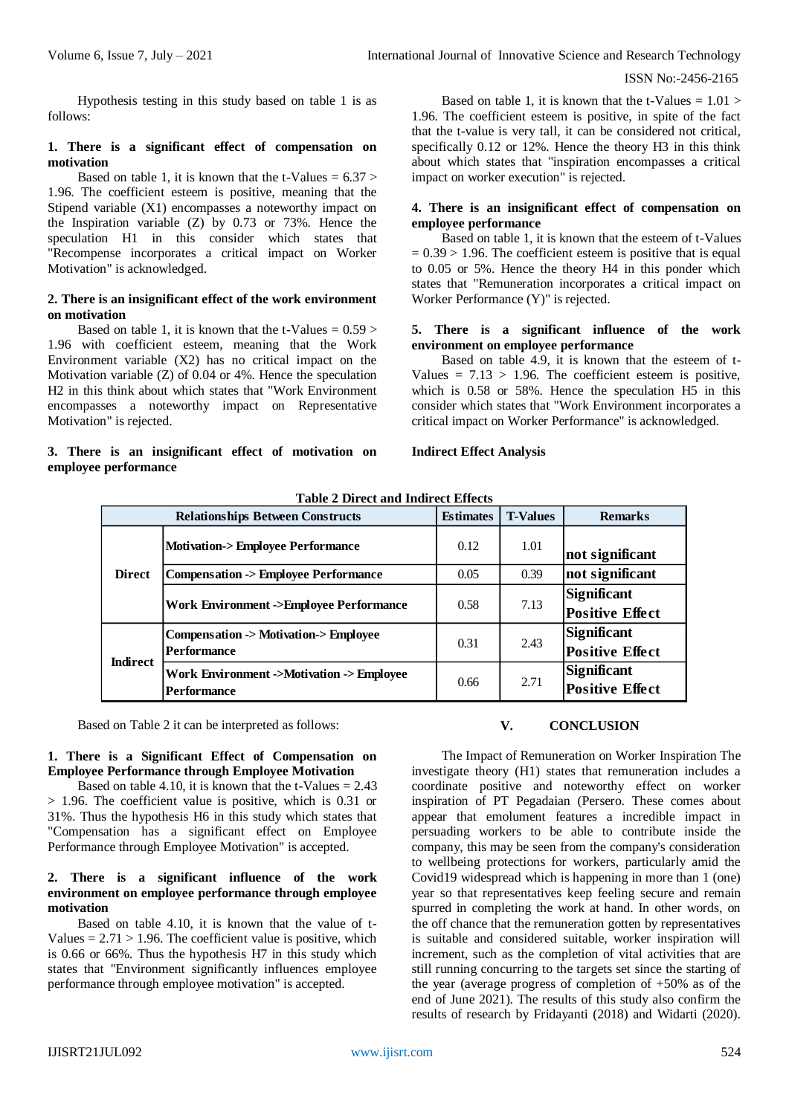Hypothesis testing in this study based on table 1 is as follows:

#### **1. There is a significant effect of compensation on motivation**

Based on table 1, it is known that the t-Values  $= 6.37$ 1.96. The coefficient esteem is positive, meaning that the Stipend variable (X1) encompasses a noteworthy impact on the Inspiration variable (Z) by 0.73 or 73%. Hence the speculation H1 in this consider which states that "Recompense incorporates a critical impact on Worker Motivation" is acknowledged.

## **2. There is an insignificant effect of the work environment on motivation**

Based on table 1, it is known that the t-Values  $= 0.59$ 1.96 with coefficient esteem, meaning that the Work Environment variable (X2) has no critical impact on the Motivation variable (Z) of 0.04 or 4%. Hence the speculation H2 in this think about which states that "Work Environment encompasses a noteworthy impact on Representative Motivation" is rejected.

## **3. There is an insignificant effect of motivation on employee performance**

Based on table 1, it is known that the t-Values  $= 1.01$  > 1.96. The coefficient esteem is positive, in spite of the fact that the t-value is very tall, it can be considered not critical, specifically 0.12 or 12%. Hence the theory H3 in this think about which states that "inspiration encompasses a critical impact on worker execution" is rejected.

## **4. There is an insignificant effect of compensation on employee performance**

Based on table 1, it is known that the esteem of t-Values  $= 0.39 > 1.96$ . The coefficient esteem is positive that is equal to 0.05 or 5%. Hence the theory H4 in this ponder which states that "Remuneration incorporates a critical impact on Worker Performance (Y)" is rejected.

## **5. There is a significant influence of the work environment on employee performance**

Based on table 4.9, it is known that the esteem of t-Values  $= 7.13 > 1.96$ . The coefficient esteem is positive. which is 0.58 or 58%. Hence the speculation H5 in this consider which states that "Work Environment incorporates a critical impact on Worker Performance" is acknowledged.

### **Indirect Effect Analysis**

| Table 2 Direct and Indirect Effects |                                                             |                  |                 |                                              |  |  |  |
|-------------------------------------|-------------------------------------------------------------|------------------|-----------------|----------------------------------------------|--|--|--|
|                                     | <b>Relationships Between Constructs</b>                     | <b>Estimates</b> | <b>T-Values</b> | <b>Remarks</b>                               |  |  |  |
| <b>Direct</b>                       | <b>Motivation-&gt; Employee Performance</b>                 | 0.12             | 1.01            | not significant                              |  |  |  |
|                                     | <b>Compensation -&gt; Employee Performance</b>              | 0.05             | 0.39            | not significant                              |  |  |  |
|                                     | <b>Work Environment -&gt;Employee Performance</b>           | 0.58             | 7.13            | <b>Significant</b><br><b>Positive Effect</b> |  |  |  |
| <b>Indirect</b>                     | Compensation -> Motivation-> Employee<br><b>Performance</b> | 0.31             | 2.43            | <b>Significant</b><br><b>Positive Effect</b> |  |  |  |
|                                     | Work Environment ->Motivation -> Employee<br>Performance    | 0.66             | 2.71            | <b>Significant</b><br><b>Positive Effect</b> |  |  |  |

**Table 2 Direct and Indirect Effects**

Based on Table 2 it can be interpreted as follows:

### **1. There is a Significant Effect of Compensation on Employee Performance through Employee Motivation**

Based on table 4.10, it is known that the  $t$ -Values = 2.43 > 1.96. The coefficient value is positive, which is 0.31 or 31%. Thus the hypothesis H6 in this study which states that "Compensation has a significant effect on Employee Performance through Employee Motivation" is accepted.

## **2. There is a significant influence of the work environment on employee performance through employee motivation**

Based on table 4.10, it is known that the value of t-Values  $= 2.71 > 1.96$ . The coefficient value is positive, which is 0.66 or 66%. Thus the hypothesis H7 in this study which states that "Environment significantly influences employee performance through employee motivation" is accepted.

## **V. CONCLUSION**

The Impact of Remuneration on Worker Inspiration The investigate theory (H1) states that remuneration includes a coordinate positive and noteworthy effect on worker inspiration of PT Pegadaian (Persero. These comes about appear that emolument features a incredible impact in persuading workers to be able to contribute inside the company, this may be seen from the company's consideration to wellbeing protections for workers, particularly amid the Covid19 widespread which is happening in more than 1 (one) year so that representatives keep feeling secure and remain spurred in completing the work at hand. In other words, on the off chance that the remuneration gotten by representatives is suitable and considered suitable, worker inspiration will increment, such as the completion of vital activities that are still running concurring to the targets set since the starting of the year (average progress of completion of +50% as of the end of June 2021). The results of this study also confirm the results of research by Fridayanti (2018) and Widarti (2020).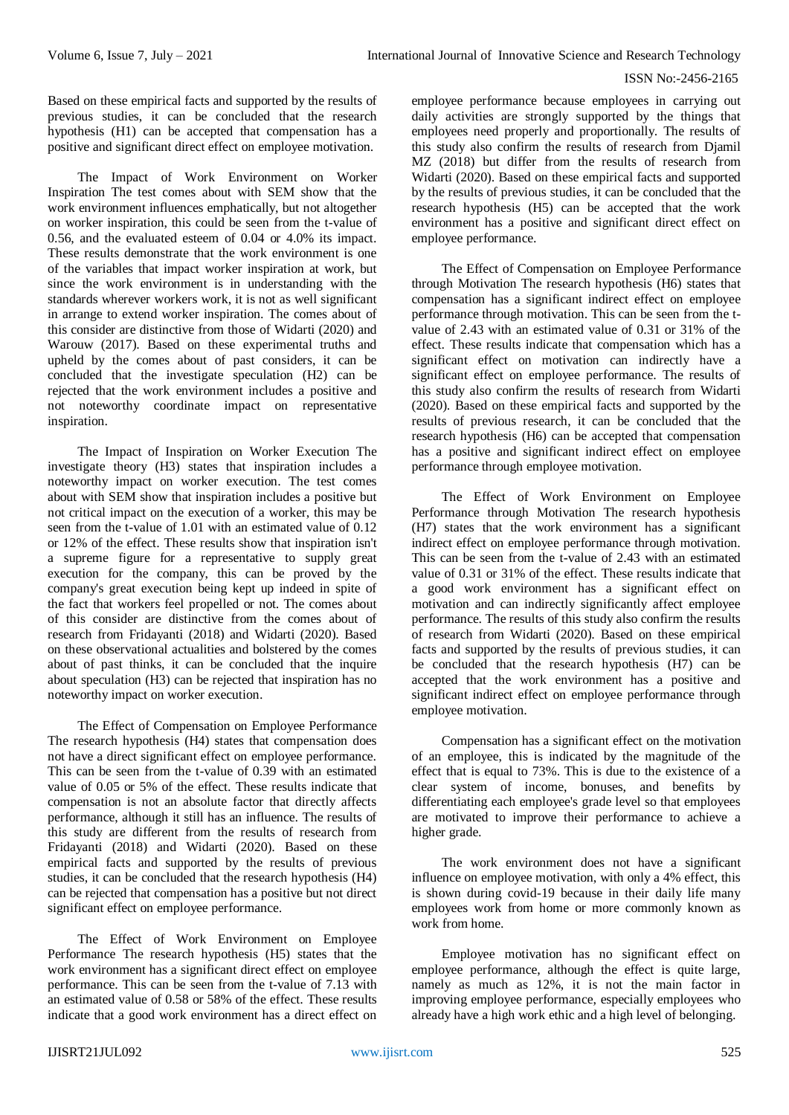Based on these empirical facts and supported by the results of previous studies, it can be concluded that the research hypothesis (H1) can be accepted that compensation has a positive and significant direct effect on employee motivation.

The Impact of Work Environment on Worker Inspiration The test comes about with SEM show that the work environment influences emphatically, but not altogether on worker inspiration, this could be seen from the t-value of 0.56, and the evaluated esteem of 0.04 or 4.0% its impact. These results demonstrate that the work environment is one of the variables that impact worker inspiration at work, but since the work environment is in understanding with the standards wherever workers work, it is not as well significant in arrange to extend worker inspiration. The comes about of this consider are distinctive from those of Widarti (2020) and Warouw (2017). Based on these experimental truths and upheld by the comes about of past considers, it can be concluded that the investigate speculation (H2) can be rejected that the work environment includes a positive and not noteworthy coordinate impact on representative inspiration.

The Impact of Inspiration on Worker Execution The investigate theory (H3) states that inspiration includes a noteworthy impact on worker execution. The test comes about with SEM show that inspiration includes a positive but not critical impact on the execution of a worker, this may be seen from the t-value of 1.01 with an estimated value of 0.12 or 12% of the effect. These results show that inspiration isn't a supreme figure for a representative to supply great execution for the company, this can be proved by the company's great execution being kept up indeed in spite of the fact that workers feel propelled or not. The comes about of this consider are distinctive from the comes about of research from Fridayanti (2018) and Widarti (2020). Based on these observational actualities and bolstered by the comes about of past thinks, it can be concluded that the inquire about speculation (H3) can be rejected that inspiration has no noteworthy impact on worker execution.

The Effect of Compensation on Employee Performance The research hypothesis (H4) states that compensation does not have a direct significant effect on employee performance. This can be seen from the t-value of 0.39 with an estimated value of 0.05 or 5% of the effect. These results indicate that compensation is not an absolute factor that directly affects performance, although it still has an influence. The results of this study are different from the results of research from Fridayanti (2018) and Widarti (2020). Based on these empirical facts and supported by the results of previous studies, it can be concluded that the research hypothesis (H4) can be rejected that compensation has a positive but not direct significant effect on employee performance.

The Effect of Work Environment on Employee Performance The research hypothesis (H5) states that the work environment has a significant direct effect on employee performance. This can be seen from the t-value of 7.13 with an estimated value of 0.58 or 58% of the effect. These results indicate that a good work environment has a direct effect on

employee performance because employees in carrying out daily activities are strongly supported by the things that employees need properly and proportionally. The results of this study also confirm the results of research from Djamil MZ (2018) but differ from the results of research from Widarti (2020). Based on these empirical facts and supported by the results of previous studies, it can be concluded that the research hypothesis (H5) can be accepted that the work environment has a positive and significant direct effect on employee performance.

The Effect of Compensation on Employee Performance through Motivation The research hypothesis (H6) states that compensation has a significant indirect effect on employee performance through motivation. This can be seen from the tvalue of 2.43 with an estimated value of 0.31 or 31% of the effect. These results indicate that compensation which has a significant effect on motivation can indirectly have a significant effect on employee performance. The results of this study also confirm the results of research from Widarti (2020). Based on these empirical facts and supported by the results of previous research, it can be concluded that the research hypothesis (H6) can be accepted that compensation has a positive and significant indirect effect on employee performance through employee motivation.

The Effect of Work Environment on Employee Performance through Motivation The research hypothesis (H7) states that the work environment has a significant indirect effect on employee performance through motivation. This can be seen from the t-value of 2.43 with an estimated value of 0.31 or 31% of the effect. These results indicate that a good work environment has a significant effect on motivation and can indirectly significantly affect employee performance. The results of this study also confirm the results of research from Widarti (2020). Based on these empirical facts and supported by the results of previous studies, it can be concluded that the research hypothesis (H7) can be accepted that the work environment has a positive and significant indirect effect on employee performance through employee motivation.

Compensation has a significant effect on the motivation of an employee, this is indicated by the magnitude of the effect that is equal to 73%. This is due to the existence of a clear system of income, bonuses, and benefits by differentiating each employee's grade level so that employees are motivated to improve their performance to achieve a higher grade.

The work environment does not have a significant influence on employee motivation, with only a 4% effect, this is shown during covid-19 because in their daily life many employees work from home or more commonly known as work from home.

Employee motivation has no significant effect on employee performance, although the effect is quite large, namely as much as 12%, it is not the main factor in improving employee performance, especially employees who already have a high work ethic and a high level of belonging.